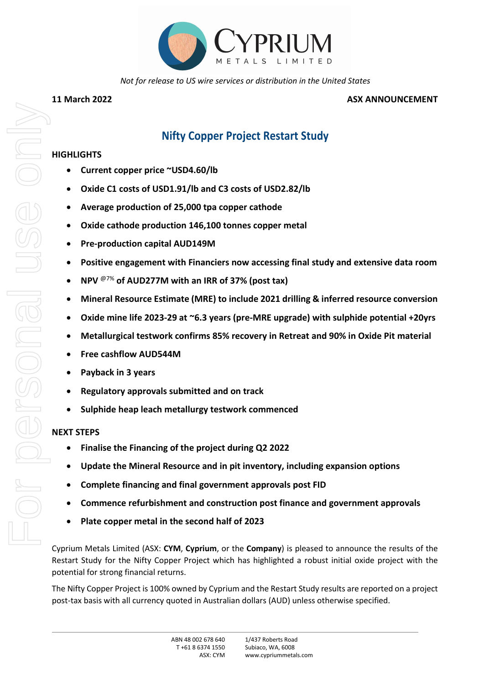

*Not for release to US wire services or distribution in the United States*

## **11 March 2022 ASX ANNOUNCEMENT**

# **Nifty Copper Project Restart Study**

# **HIGHLIGHTS**

- **Current copper price ~USD4.60/lb**
- **Oxide C1 costs of USD1.91/lb and C3 costs of USD2.82/lb**
- **Average production of 25,000 tpa copper cathode**
- **Oxide cathode production 146,100 tonnes copper metal**
- **Pre-production capital AUD149M**
- **Positive engagement with Financiers now accessing final study and extensive data room**
- **NPV** @7% **of AUD277M with an IRR of 37% (post tax)**
- **Mineral Resource Estimate (MRE) to include 2021 drilling & inferred resource conversion**
- **Oxide mine life 2023-29 at ~6.3 years (pre-MRE upgrade) with sulphide potential +20yrs**
- **Metallurgical testwork confirms 85% recovery in Retreat and 90% in Oxide Pit material**
- **Free cashflow AUD544M**
- **Payback in 3 years**
- **Regulatory approvals submitted and on track**
- **Sulphide heap leach metallurgy testwork commenced**

# **NEXT STEPS**

- **Finalise the Financing of the project during Q2 2022**
- **Update the Mineral Resource and in pit inventory, including expansion options**
- **Complete financing and final government approvals post FID**
- **Commence refurbishment and construction post finance and government approvals**
- **Plate copper metal in the second half of 2023**

Cyprium Metals Limited (ASX: **CYM**, **Cyprium**, or the **Company**) is pleased to announce the results of the Restart Study for the Nifty Copper Project which has highlighted a robust initial oxide project with the potential for strong financial returns.

The Nifty Copper Project is 100% owned by Cyprium and the Restart Study results are reported on a project post-tax basis with all currency quoted in Australian dollars (AUD) unless otherwise specified.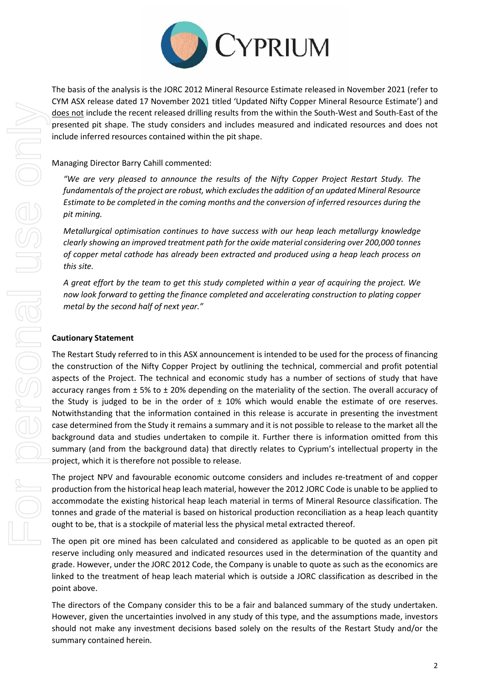

The basis of the analysis is the JORC 2012 Mineral Resource Estimate released in November 2021 (refer to CYM ASX release dated 17 November 2021 titled 'Updated Nifty Copper Mineral Resource Estimate') and does not include the recent released drilling results from the within the South-West and South-East of the presented pit shape. The study considers and includes measured and indicated resources and does not include inferred resources contained within the pit shape.

Managing Director Barry Cahill commented:

*"We are very pleased to announce the results of the Nifty Copper Project Restart Study. The fundamentals of the project are robust, which excludes the addition of an updated Mineral Resource Estimate to be completed in the coming months and the conversion of inferred resources during the pit mining.*

*Metallurgical optimisation continues to have success with our heap leach metallurgy knowledge clearly showing an improved treatment path for the oxide material considering over 200,000 tonnes of copper metal cathode has already been extracted and produced using a heap leach process on this site.*

*A great effort by the team to get this study completed within a year of acquiring the project. We now look forward to getting the finance completed and accelerating construction to plating copper metal by the second half of next year."* 

## **Cautionary Statement**

The Restart Study referred to in this ASX announcement is intended to be used for the process of financing the construction of the Nifty Copper Project by outlining the technical, commercial and profit potential aspects of the Project. The technical and economic study has a number of sections of study that have accuracy ranges from  $\pm$  5% to  $\pm$  20% depending on the materiality of the section. The overall accuracy of the Study is judged to be in the order of  $\pm$  10% which would enable the estimate of ore reserves. Notwithstanding that the information contained in this release is accurate in presenting the investment case determined from the Study it remains a summary and it is not possible to release to the market all the background data and studies undertaken to compile it. Further there is information omitted from this summary (and from the background data) that directly relates to Cyprium's intellectual property in the project, which it is therefore not possible to release.

The project NPV and favourable economic outcome considers and includes re-treatment of and copper production from the historical heap leach material, however the 2012 JORC Code is unable to be applied to accommodate the existing historical heap leach material in terms of Mineral Resource classification. The tonnes and grade of the material is based on historical production reconciliation as a heap leach quantity ought to be, that is a stockpile of material less the physical metal extracted thereof.

The open pit ore mined has been calculated and considered as applicable to be quoted as an open pit reserve including only measured and indicated resources used in the determination of the quantity and grade. However, under the JORC 2012 Code, the Company is unable to quote as such as the economics are linked to the treatment of heap leach material which is outside a JORC classification as described in the point above.

The directors of the Company consider this to be a fair and balanced summary of the study undertaken. However, given the uncertainties involved in any study of this type, and the assumptions made, investors should not make any investment decisions based solely on the results of the Restart Study and/or the summary contained herein.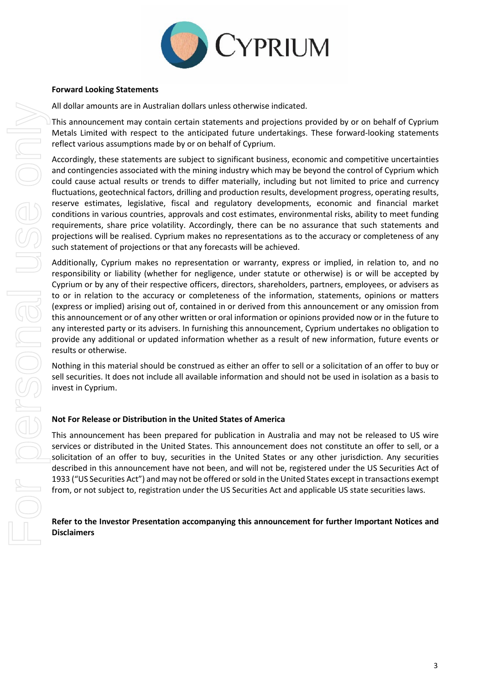

#### **Forward Looking Statements**

All dollar amounts are in Australian dollars unless otherwise indicated.

This announcement may contain certain statements and projections provided by or on behalf of Cyprium Metals Limited with respect to the anticipated future undertakings. These forward-looking statements reflect various assumptions made by or on behalf of Cyprium.

Accordingly, these statements are subject to significant business, economic and competitive uncertainties and contingencies associated with the mining industry which may be beyond the control of Cyprium which could cause actual results or trends to differ materially, including but not limited to price and currency fluctuations, geotechnical factors, drilling and production results, development progress, operating results, reserve estimates, legislative, fiscal and regulatory developments, economic and financial market conditions in various countries, approvals and cost estimates, environmental risks, ability to meet funding requirements, share price volatility. Accordingly, there can be no assurance that such statements and projections will be realised. Cyprium makes no representations as to the accuracy or completeness of any such statement of projections or that any forecasts will be achieved.

Additionally, Cyprium makes no representation or warranty, express or implied, in relation to, and no responsibility or liability (whether for negligence, under statute or otherwise) is or will be accepted by Cyprium or by any of their respective officers, directors, shareholders, partners, employees, or advisers as to or in relation to the accuracy or completeness of the information, statements, opinions or matters (express or implied) arising out of, contained in or derived from this announcement or any omission from this announcement or of any other written or oral information or opinions provided now or in the future to any interested party or its advisers. In furnishing this announcement, Cyprium undertakes no obligation to provide any additional or updated information whether as a result of new information, future events or results or otherwise.

Nothing in this material should be construed as either an offer to sell or a solicitation of an offer to buy or sell securities. It does not include all available information and should not be used in isolation as a basis to invest in Cyprium.

## **Not For Release or Distribution in the United States of America**

This announcement has been prepared for publication in Australia and may not be released to US wire services or distributed in the United States. This announcement does not constitute an offer to sell, or a solicitation of an offer to buy, securities in the United States or any other jurisdiction. Any securities described in this announcement have not been, and will not be, registered under the US Securities Act of 1933 ("US Securities Act") and may not be offered or sold in the United States except in transactions exempt from, or not subject to, registration under the US Securities Act and applicable US state securities laws.

## **Refer to the Investor Presentation accompanying this announcement for further Important Notices and Disclaimers**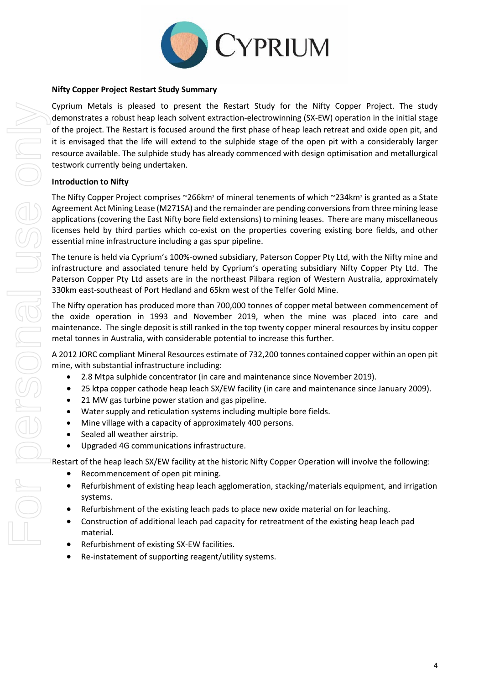

#### **Nifty Copper Project Restart Study Summary**

Cyprium Metals is pleased to present the Restart Study for the Nifty Copper Project. The study demonstrates a robust heap leach solvent extraction-electrowinning (SX-EW) operation in the initial stage of the project. The Restart is focused around the first phase of heap leach retreat and oxide open pit, and it is envisaged that the life will extend to the sulphide stage of the open pit with a considerably larger resource available. The sulphide study has already commenced with design optimisation and metallurgical testwork currently being undertaken.

## **Introduction to Nifty**

The Nifty Copper Project comprises  $\sim$ 266km<sup>2</sup> of mineral tenements of which  $\sim$ 234km<sup>2</sup> is granted as a State Agreement Act Mining Lease (M271SA) and the remainder are pending conversions from three mining lease applications (covering the East Nifty bore field extensions) to mining leases. There are many miscellaneous licenses held by third parties which co-exist on the properties covering existing bore fields, and other essential mine infrastructure including a gas spur pipeline.

The tenure is held via Cyprium's 100%-owned subsidiary, Paterson Copper Pty Ltd, with the Nifty mine and infrastructure and associated tenure held by Cyprium's operating subsidiary Nifty Copper Pty Ltd. The Paterson Copper Pty Ltd assets are in the northeast Pilbara region of Western Australia, approximately 330km east-southeast of Port Hedland and 65km west of the Telfer Gold Mine.

The Nifty operation has produced more than 700,000 tonnes of copper metal between commencement of the oxide operation in 1993 and November 2019, when the mine was placed into care and maintenance. The single deposit is still ranked in the top twenty copper mineral resources by insitu copper metal tonnes in Australia, with considerable potential to increase this further.

A 2012 JORC compliant Mineral Resources estimate of 732,200 tonnes contained copper within an open pit mine, with substantial infrastructure including:

- 2.8 Mtpa sulphide concentrator (in care and maintenance since November 2019).
- 25 ktpa copper cathode heap leach SX/EW facility (in care and maintenance since January 2009).
- 21 MW gas turbine power station and gas pipeline.
- Water supply and reticulation systems including multiple bore fields.
- Mine village with a capacity of approximately 400 persons.
- Sealed all weather airstrip.
- Upgraded 4G communications infrastructure.

Restart of the heap leach SX/EW facility at the historic Nifty Copper Operation will involve the following:

- Recommencement of open pit mining.
- Refurbishment of existing heap leach agglomeration, stacking/materials equipment, and irrigation systems.
- Refurbishment of the existing leach pads to place new oxide material on for leaching.
- Construction of additional leach pad capacity for retreatment of the existing heap leach pad material.
- Refurbishment of existing SX-EW facilities.
- Re-instatement of supporting reagent/utility systems.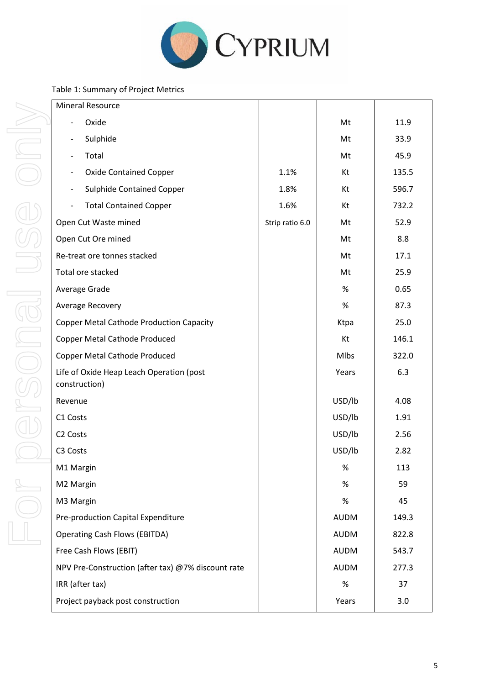

## Table 1: Summary of Project Metrics

| <b>Mineral Resource</b>                                   |                 |             |       |
|-----------------------------------------------------------|-----------------|-------------|-------|
| Oxide                                                     |                 | Mt          | 11.9  |
| Sulphide<br>$\overline{\phantom{0}}$                      |                 | Mt          | 33.9  |
| Total                                                     |                 | Mt          | 45.9  |
| <b>Oxide Contained Copper</b><br>$\overline{\phantom{0}}$ | 1.1%            | Kt          | 135.5 |
| <b>Sulphide Contained Copper</b><br>$\qquad \qquad -$     | 1.8%            | Kt          | 596.7 |
| <b>Total Contained Copper</b>                             | 1.6%            | Kt          | 732.2 |
| Open Cut Waste mined                                      | Strip ratio 6.0 | Mt          | 52.9  |
| Open Cut Ore mined                                        |                 | Mt          | 8.8   |
| Re-treat ore tonnes stacked                               |                 | Mt          | 17.1  |
| Total ore stacked                                         |                 | Mt          | 25.9  |
| Average Grade                                             |                 | $\%$        | 0.65  |
| Average Recovery                                          |                 | $\%$        | 87.3  |
| <b>Copper Metal Cathode Production Capacity</b>           |                 | Ktpa        | 25.0  |
| <b>Copper Metal Cathode Produced</b>                      |                 | Kt          | 146.1 |
| Copper Metal Cathode Produced                             |                 | Mlbs        | 322.0 |
| Life of Oxide Heap Leach Operation (post<br>construction) |                 | Years       | 6.3   |
| Revenue                                                   |                 | USD/lb      | 4.08  |
| C1 Costs                                                  |                 | USD/lb      | 1.91  |
| C <sub>2</sub> Costs                                      |                 | USD/lb      | 2.56  |
| C3 Costs                                                  |                 | USD/lb      | 2.82  |
| M1 Margin                                                 |                 | $\%$        | 113   |
| M2 Margin                                                 |                 | $\%$        | 59    |
| M3 Margin                                                 |                 | $\%$        | 45    |
| Pre-production Capital Expenditure                        |                 | <b>AUDM</b> | 149.3 |
| <b>Operating Cash Flows (EBITDA)</b>                      |                 | <b>AUDM</b> | 822.8 |
| Free Cash Flows (EBIT)                                    |                 | <b>AUDM</b> | 543.7 |
| NPV Pre-Construction (after tax) @7% discount rate        |                 | <b>AUDM</b> | 277.3 |
| IRR (after tax)                                           |                 | $\%$        | 37    |
| Project payback post construction                         |                 | Years       | 3.0   |
|                                                           |                 |             |       |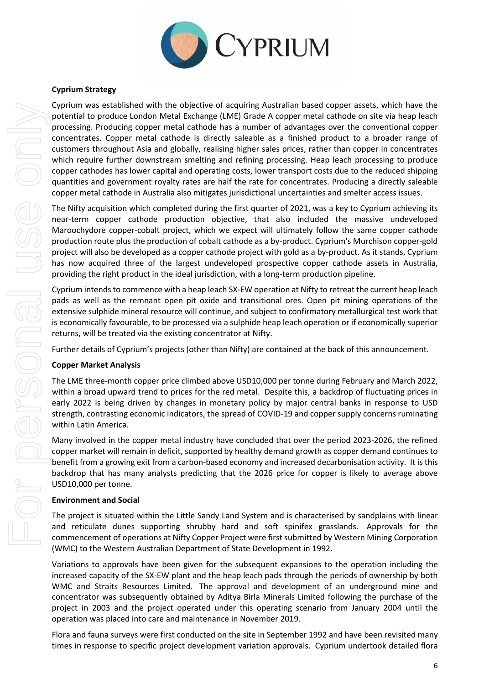

## **Cyprium Strategy**

Cyprium was established with the objective of acquiring Australian based copper assets, which have the potential to produce London Metal Exchange (LME) Grade A copper metal cathode on site via heap leach processing. Producing copper metal cathode has a number of advantages over the conventional copper concentrates. Copper metal cathode is directly saleable as a finished product to a broader range of customers throughout Asia and globally, realising higher sales prices, rather than copper in concentrates which require further downstream smelting and refining processing. Heap leach processing to produce copper cathodes has lower capital and operating costs, lower transport costs due to the reduced shipping quantities and government royalty rates are half the rate for concentrates. Producing a directly saleable copper metal cathode in Australia also mitigates jurisdictional uncertainties and smelter access issues.

The Nifty acquisition which completed during the first quarter of 2021, was a key to Cyprium achieving its near-term copper cathode production objective, that also included the massive undeveloped Maroochydore copper-cobalt project, which we expect will ultimately follow the same copper cathode production route plus the production of cobalt cathode as a by-product. Cyprium's Murchison copper-gold project will also be developed as a copper cathode project with gold as a by-product. As it stands, Cyprium has now acquired three of the largest undeveloped prospective copper cathode assets in Australia, providing the right product in the ideal jurisdiction, with a long-term production pipeline.

Cyprium intends to commence with a heap leach SX-EW operation at Nifty to retreat the current heap leach pads as well as the remnant open pit oxide and transitional ores. Open pit mining operations of the extensive sulphide mineral resource will continue, and subject to confirmatory metallurgical test work that is economically favourable, to be processed via a sulphide heap leach operation or if economically superior returns, will be treated via the existing concentrator at Nifty.

Further details of Cyprium's projects (other than Nifty) are contained at the back of this announcement.

#### **Copper Market Analysis**

The LME three-month copper price climbed above USD10,000 per tonne during February and March 2022, within a broad upward trend to prices for the red metal. Despite this, a backdrop of fluctuating prices in early 2022 is being driven by changes in monetary policy by major central banks in response to USD strength, contrasting economic indicators, the spread of COVID-19 and copper supply concerns ruminating within Latin America.

Many involved in the copper metal industry have concluded that over the period 2023-2026, the refined copper market will remain in deficit, supported by healthy demand growth as copper demand continues to benefit from a growing exit from a carbon-based economy and increased decarbonisation activity. It is this backdrop that has many analysts predicting that the 2026 price for copper is likely to average above USD10,000 per tonne.

#### **Environment and Social**

The project is situated within the Little Sandy Land System and is characterised by sandplains with linear and reticulate dunes supporting shrubby hard and soft spinifex grasslands. Approvals for the commencement of operations at Nifty Copper Project were first submitted by Western Mining Corporation (WMC) to the Western Australian Department of State Development in 1992.

Variations to approvals have been given for the subsequent expansions to the operation including the increased capacity of the SX-EW plant and the heap leach pads through the periods of ownership by both WMC and Straits Resources Limited. The approval and development of an underground mine and concentrator was subsequently obtained by Aditya Birla Minerals Limited following the purchase of the project in 2003 and the project operated under this operating scenario from January 2004 until the operation was placed into care and maintenance in November 2019.

Flora and fauna surveys were first conducted on the site in September 1992 and have been revisited many times in response to specific project development variation approvals. Cyprium undertook detailed flora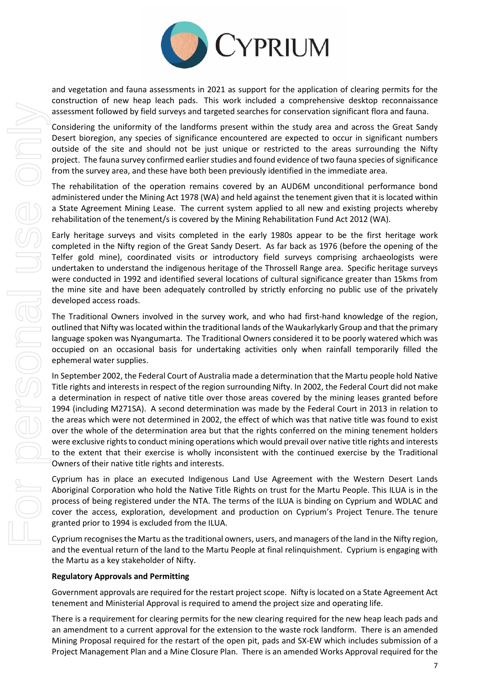

and vegetation and fauna assessments in 2021 as support for the application of clearing permits for the construction of new heap leach pads. This work included a comprehensive desktop reconnaissance assessment followed by field surveys and targeted searches for conservation significant flora and fauna.

Considering the uniformity of the landforms present within the study area and across the Great Sandy Desert bioregion, any species of significance encountered are expected to occur in significant numbers outside of the site and should not be just unique or restricted to the areas surrounding the Nifty project. The fauna survey confirmed earlier studies and found evidence of two fauna species of significance from the survey area, and these have both been previously identified in the immediate area.

The rehabilitation of the operation remains covered by an AUD6M unconditional performance bond administered under the Mining Act 1978 (WA) and held against the tenement given that it is located within a State Agreement Mining Lease. The current system applied to all new and existing projects whereby rehabilitation of the tenement/s is covered by the Mining Rehabilitation Fund Act 2012 (WA).

Early heritage surveys and visits completed in the early 1980s appear to be the first heritage work completed in the Nifty region of the Great Sandy Desert. As far back as 1976 (before the opening of the Telfer gold mine), coordinated visits or introductory field surveys comprising archaeologists were undertaken to understand the indigenous heritage of the Throssell Range area. Specific heritage surveys were conducted in 1992 and identified several locations of cultural significance greater than 15kms from the mine site and have been adequately controlled by strictly enforcing no public use of the privately developed access roads.

The Traditional Owners involved in the survey work, and who had first-hand knowledge of the region, outlined that Nifty was located within the traditional lands of the Waukarlykarly Group and that the primary language spoken was Nyangumarta. The Traditional Owners considered it to be poorly watered which was occupied on an occasional basis for undertaking activities only when rainfall temporarily filled the ephemeral water supplies.

In September 2002, the Federal Court of Australia made a determination that the Martu people hold Native Title rights and interests in respect of the region surrounding Nifty. In 2002, the Federal Court did not make a determination in respect of native title over those areas covered by the mining leases granted before 1994 (including M271SA). A second determination was made by the Federal Court in 2013 in relation to the areas which were not determined in 2002, the effect of which was that native title was found to exist over the whole of the determination area but that the rights conferred on the mining tenement holders were exclusive rights to conduct mining operations which would prevail over native title rights and interests to the extent that their exercise is wholly inconsistent with the continued exercise by the Traditional Owners of their native title rights and interests.

Cyprium has in place an executed Indigenous Land Use Agreement with the Western Desert Lands Aboriginal Corporation who hold the Native Title Rights on trust for the Martu People. This ILUA is in the process of being registered under the NTA. The terms of the ILUA is binding on Cyprium and WDLAC and cover the access, exploration, development and production on Cyprium's Project Tenure. The tenure granted prior to 1994 is excluded from the ILUA.

Cyprium recognises the Martu as the traditional owners, users, and managers of the land in the Nifty region, and the eventual return of the land to the Martu People at final relinquishment. Cyprium is engaging with the Martu as a key stakeholder of Nifty.

#### **Regulatory Approvals and Permitting**

Government approvals are required for the restart project scope. Nifty is located on a State Agreement Act tenement and Ministerial Approval is required to amend the project size and operating life.

There is a requirement for clearing permits for the new clearing required for the new heap leach pads and an amendment to a current approval for the extension to the waste rock landform. There is an amended Mining Proposal required for the restart of the open pit, pads and SX-EW which includes submission of a Project Management Plan and a Mine Closure Plan. There is an amended Works Approval required for the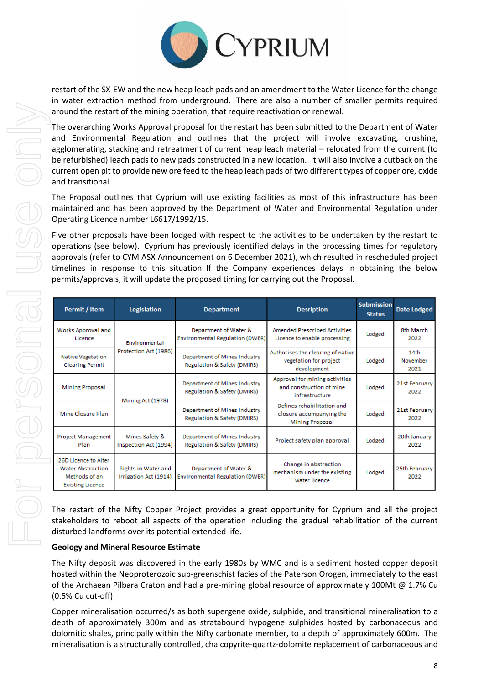

restart of the SX-EW and the new heap leach pads and an amendment to the Water Licence for the change in water extraction method from underground. There are also a number of smaller permits required around the restart of the mining operation, that require reactivation or renewal.

The overarching Works Approval proposal for the restart has been submitted to the Department of Water and Environmental Regulation and outlines that the project will involve excavating, crushing, agglomerating, stacking and retreatment of current heap leach material – relocated from the current (to be refurbished) leach pads to new pads constructed in a new location. It will also involve a cutback on the current open pit to provide new ore feed to the heap leach pads of two different types of copper ore, oxide and transitional.

The Proposal outlines that Cyprium will use existing facilities as most of this infrastructure has been maintained and has been approved by the Department of Water and Environmental Regulation under Operating Licence number L6617/1992/15.

Five other proposals have been lodged with respect to the activities to be undertaken by the restart to operations (see below). Cyprium has previously identified delays in the processing times for regulatory approvals (refer to CYM ASX Announcement on 6 December 2021), which resulted in rescheduled project timelines in response to this situation. If the Company experiences delays in obtaining the below permits/approvals, it will update the proposed timing for carrying out the Proposal.

| Permit / Item                                                                                | Legislation                                                                                                                                       | <b>Desription</b><br><b>Department</b>                                                                                                          |                                                                        | <b>Submission</b><br><b>Status</b> | Date Lodged              |
|----------------------------------------------------------------------------------------------|---------------------------------------------------------------------------------------------------------------------------------------------------|-------------------------------------------------------------------------------------------------------------------------------------------------|------------------------------------------------------------------------|------------------------------------|--------------------------|
| Works Approval and<br>Licence                                                                | <b>Amended Prescribed Activities</b><br>Department of Water &<br>Environmental Regulation (DWER)<br>Licence to enable processing<br>Environmental |                                                                                                                                                 | Lodged                                                                 | 8th March<br>2022                  |                          |
| <b>Native Vegetation</b><br><b>Clearing Permit</b>                                           | Protection Act (1986)                                                                                                                             | Authorises the clearing of native<br>Department of Mines Industry<br>vegetation for project<br>Regulation & Safety (DMIRS)<br>development       |                                                                        | Lodged                             | 14th<br>November<br>2021 |
| <b>Mining Proposal</b>                                                                       |                                                                                                                                                   | Approval for mining activities<br>Department of Mines Industry<br>and construction of mine<br>Regulation & Safety (DMIRS)<br>infrastructure     |                                                                        | Lodged                             | 21st February<br>2022    |
| Mine Closure Plan                                                                            | Mining Act (1978)                                                                                                                                 | Defines rehabilitation and<br>Department of Mines Industry<br>closure accompanying the<br>Regulation & Safety (DMIRS)<br><b>Mining Proposal</b> |                                                                        | Lodged                             | 21st February<br>2022    |
| Mines Safety &<br><b>Project Management</b><br>Inspection Act (1994)<br>Plan                 |                                                                                                                                                   | Department of Mines Industry<br>Regulation & Safety (DMIRS)                                                                                     | Project safety plan approval                                           | Lodged                             | 20th January<br>2022     |
| 26D Licence to Alter<br><b>Water Abstraction</b><br>Methods of an<br><b>Existing Licence</b> | Rights in Water and<br>Irrigation Act (1914)                                                                                                      | Department of Water &<br>Environmental Regulation (DWER)                                                                                        | Change in abstraction<br>mechanism under the existing<br>water licence | Lodged                             | 25th February<br>2022    |

The restart of the Nifty Copper Project provides a great opportunity for Cyprium and all the project stakeholders to reboot all aspects of the operation including the gradual rehabilitation of the current disturbed landforms over its potential extended life.

#### **Geology and Mineral Resource Estimate**

The Nifty deposit was discovered in the early 1980s by WMC and is a sediment hosted copper deposit hosted within the Neoproterozoic sub-greenschist facies of the Paterson Orogen, immediately to the east of the Archaean Pilbara Craton and had a pre-mining global resource of approximately 100Mt @ 1.7% Cu (0.5% Cu cut-off).

Copper mineralisation occurred/s as both supergene oxide, sulphide, and transitional mineralisation to a depth of approximately 300m and as stratabound hypogene sulphides hosted by carbonaceous and dolomitic shales, principally within the Nifty carbonate member, to a depth of approximately 600m. The mineralisation is a structurally controlled, chalcopyrite-quartz-dolomite replacement of carbonaceous and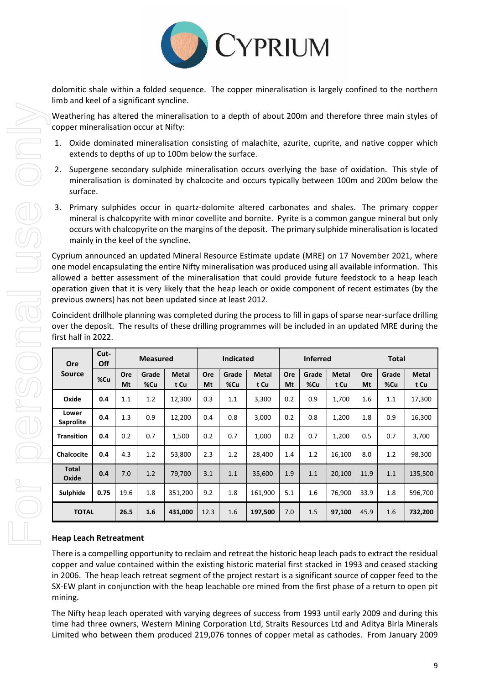

dolomitic shale within a folded sequence. The copper mineralisation is largely confined to the northern limb and keel of a significant syncline.

Weathering has altered the mineralisation to a depth of about 200m and therefore three main styles of copper mineralisation occur at Nifty:

- 1. Oxide dominated mineralisation consisting of malachite, azurite, cuprite, and native copper which extends to depths of up to 100m below the surface.
- 2. Supergene secondary sulphide mineralisation occurs overlying the base of oxidation. This style of mineralisation is dominated by chalcocite and occurs typically between 100m and 200m below the surface.
- 3. Primary sulphides occur in quartz-dolomite altered carbonates and shales. The primary copper mineral is chalcopyrite with minor covellite and bornite. Pyrite is a common gangue mineral but only occurs with chalcopyrite on the margins of the deposit. The primary sulphide mineralisation is located mainly in the keel of the syncline.

Cyprium announced an updated Mineral Resource Estimate update (MRE) on 17 November 2021, where one model encapsulating the entire Nifty mineralisation was produced using all available information. This allowed a better assessment of the mineralisation that could provide future feedstock to a heap leach operation given that it is very likely that the heap leach or oxide component of recent estimates (by the previous owners) has not been updated since at least 2012.

Coincident drillhole planning was completed during the process to fill in gaps of sparse near-surface drilling over the deposit. The results of these drilling programmes will be included in an updated MRE during the first half in 2022.

| Ore                       | Cut-<br>Off |           | <b>Measured</b> |                      |           | <b>Indicated</b> |               |           | <b>Inferred</b> |                      |           | <b>Total</b> |                      |  |
|---------------------------|-------------|-----------|-----------------|----------------------|-----------|------------------|---------------|-----------|-----------------|----------------------|-----------|--------------|----------------------|--|
| <b>Source</b>             | %Cu         | Ore<br>Mt | Grade<br>%Cu    | <b>Metal</b><br>t Cu | Ore<br>Mt | Grade<br>%Cu     | Metal<br>t Cu | Ore<br>Mt | Grade<br>%Cu    | <b>Metal</b><br>t Cu | Ore<br>Mt | Grade<br>%Cu | <b>Metal</b><br>t Cu |  |
| Oxide                     | 0.4         | 1.1       | 1.2             | 12,300               | 0.3       | 1.1              | 3.300         | 0.2       | 0.9             | 1.700                | 1.6       | 1.1          | 17,300               |  |
| Lower<br><b>Saprolite</b> | 0.4         | 1.3       | 0.9             | 12,200               | 0.4       | 0.8              | 3,000         | 0.2       | 0.8             | 1,200                | 1.8       | 0.9          | 16,300               |  |
| <b>Transition</b>         | 0.4         | 0.2       | 0.7             | 1,500                | 0.2       | 0.7              | 1.000         | 0.2       | 0.7             | 1,200                | 0.5       | 0.7          | 3,700                |  |
| <b>Chalcocite</b>         | 0.4         | 4.3       | 1.2             | 53,800               | 2.3       | 1.2              | 28,400        | 1.4       | 1.2             | 16,100               | 8.0       | 1.2          | 98,300               |  |
| <b>Total</b><br>Oxide     | 0.4         | 7.0       | 1.2             | 79,700               | 3.1       | 1.1              | 35,600        | 1.9       | 1.1             | 20,100               | 11.9      | 1.1          | 135,500              |  |
| Sulphide                  | 0.75        | 19.6      | 1.8             | 351,200              | 9.2       | 1.8              | 161,900       | 5.1       | 1.6             | 76,900               | 33.9      | 1.8          | 596,700              |  |
| <b>TOTAL</b>              |             | 26.5      | 1.6             | 431,000              | 12.3      | 1.6              | 197,500       | 7.0       | 1.5             | 97,100               | 45.9      | 1.6          | 732,200              |  |

## **Heap Leach Retreatment**

There is a compelling opportunity to reclaim and retreat the historic heap leach pads to extract the residual copper and value contained within the existing historic material first stacked in 1993 and ceased stacking in 2006. The heap leach retreat segment of the project restart is a significant source of copper feed to the SX-EW plant in conjunction with the heap leachable ore mined from the first phase of a return to open pit mining.

The Nifty heap leach operated with varying degrees of success from 1993 until early 2009 and during this time had three owners, Western Mining Corporation Ltd, Straits Resources Ltd and Aditya Birla Minerals Limited who between them produced 219,076 tonnes of copper metal as cathodes. From January 2009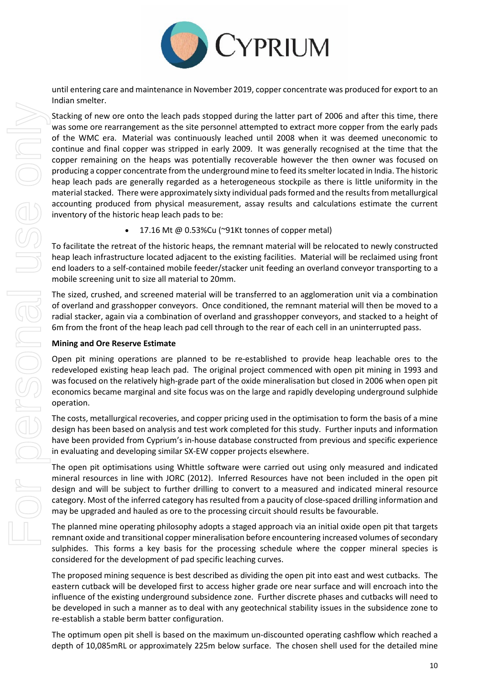

until entering care and maintenance in November 2019, copper concentrate was produced for export to an Indian smelter.

Stacking of new ore onto the leach pads stopped during the latter part of 2006 and after this time, there was some ore rearrangement as the site personnel attempted to extract more copper from the early pads of the WMC era. Material was continuously leached until 2008 when it was deemed uneconomic to continue and final copper was stripped in early 2009. It was generally recognised at the time that the copper remaining on the heaps was potentially recoverable however the then owner was focused on producing a copper concentrate from the underground mine to feed its smelter located in India. The historic heap leach pads are generally regarded as a heterogeneous stockpile as there is little uniformity in the material stacked. There were approximately sixty individual pads formed and the results from metallurgical accounting produced from physical measurement, assay results and calculations estimate the current inventory of the historic heap leach pads to be:

• 17.16 Mt @ 0.53%Cu (~91Kt tonnes of copper metal)

To facilitate the retreat of the historic heaps, the remnant material will be relocated to newly constructed heap leach infrastructure located adjacent to the existing facilities. Material will be reclaimed using front end loaders to a self-contained mobile feeder/stacker unit feeding an overland conveyor transporting to a mobile screening unit to size all material to 20mm.

The sized, crushed, and screened material will be transferred to an agglomeration unit via a combination of overland and grasshopper conveyors. Once conditioned, the remnant material will then be moved to a radial stacker, again via a combination of overland and grasshopper conveyors, and stacked to a height of 6m from the front of the heap leach pad cell through to the rear of each cell in an uninterrupted pass.

#### **Mining and Ore Reserve Estimate**

Open pit mining operations are planned to be re-established to provide heap leachable ores to the redeveloped existing heap leach pad. The original project commenced with open pit mining in 1993 and was focused on the relatively high-grade part of the oxide mineralisation but closed in 2006 when open pit economics became marginal and site focus was on the large and rapidly developing underground sulphide operation.

The costs, metallurgical recoveries, and copper pricing used in the optimisation to form the basis of a mine design has been based on analysis and test work completed for this study. Further inputs and information have been provided from Cyprium's in-house database constructed from previous and specific experience in evaluating and developing similar SX-EW copper projects elsewhere.

The open pit optimisations using Whittle software were carried out using only measured and indicated mineral resources in line with JORC (2012). Inferred Resources have not been included in the open pit design and will be subject to further drilling to convert to a measured and indicated mineral resource category. Most of the inferred category has resulted from a paucity of close-spaced drilling information and may be upgraded and hauled as ore to the processing circuit should results be favourable.

The planned mine operating philosophy adopts a staged approach via an initial oxide open pit that targets remnant oxide and transitional copper mineralisation before encountering increased volumes of secondary sulphides. This forms a key basis for the processing schedule where the copper mineral species is considered for the development of pad specific leaching curves.

The proposed mining sequence is best described as dividing the open pit into east and west cutbacks. The eastern cutback will be developed first to access higher grade ore near surface and will encroach into the influence of the existing underground subsidence zone. Further discrete phases and cutbacks will need to be developed in such a manner as to deal with any geotechnical stability issues in the subsidence zone to re-establish a stable berm batter configuration.

The optimum open pit shell is based on the maximum un-discounted operating cashflow which reached a depth of 10,085mRL or approximately 225m below surface. The chosen shell used for the detailed mine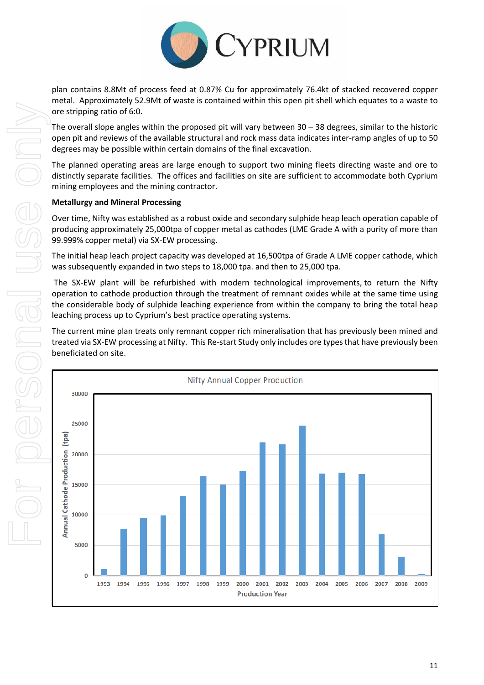

plan contains 8.8Mt of process feed at 0.87% Cu for approximately 76.4kt of stacked recovered copper metal. Approximately 52.9Mt of waste is contained within this open pit shell which equates to a waste to ore stripping ratio of 6:0.

The overall slope angles within the proposed pit will vary between 30 – 38 degrees, similar to the historic open pit and reviews of the available structural and rock mass data indicates inter-ramp angles of up to 50 degrees may be possible within certain domains of the final excavation.

The planned operating areas are large enough to support two mining fleets directing waste and ore to distinctly separate facilities. The offices and facilities on site are sufficient to accommodate both Cyprium mining employees and the mining contractor.

## **Metallurgy and Mineral Processing**

Over time, Nifty was established as a robust oxide and secondary sulphide heap leach operation capable of producing approximately 25,000tpa of copper metal as cathodes (LME Grade A with a purity of more than 99.999% copper metal) via SX-EW processing.

The initial heap leach project capacity was developed at 16,500tpa of Grade A LME copper cathode, which was subsequently expanded in two steps to 18,000 tpa. and then to 25,000 tpa.

The SX-EW plant will be refurbished with modern technological improvements, to return the Nifty operation to cathode production through the treatment of remnant oxides while at the same time using the considerable body of sulphide leaching experience from within the company to bring the total heap leaching process up to Cyprium's best practice operating systems.

The current mine plan treats only remnant copper rich mineralisation that has previously been mined and treated via SX-EW processing at Nifty. This Re-start Study only includes ore types that have previously been beneficiated on site.

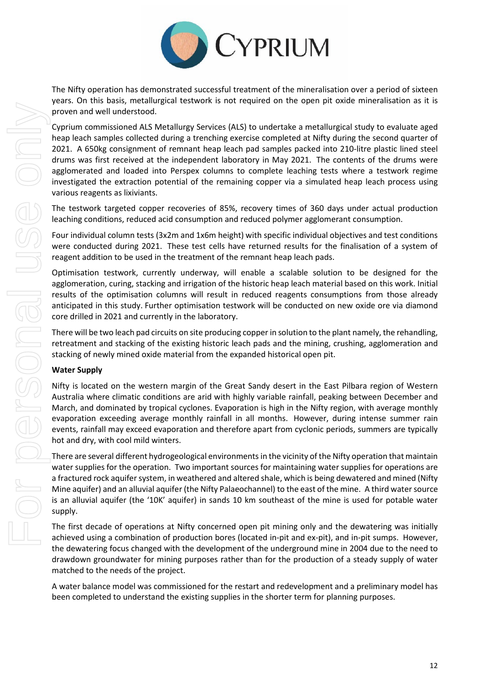

The Nifty operation has demonstrated successful treatment of the mineralisation over a period of sixteen years. On this basis, metallurgical testwork is not required on the open pit oxide mineralisation as it is proven and well understood.

Cyprium commissioned ALS Metallurgy Services (ALS) to undertake a metallurgical study to evaluate aged heap leach samples collected during a trenching exercise completed at Nifty during the second quarter of 2021. A 650kg consignment of remnant heap leach pad samples packed into 210-litre plastic lined steel drums was first received at the independent laboratory in May 2021. The contents of the drums were agglomerated and loaded into Perspex columns to complete leaching tests where a testwork regime investigated the extraction potential of the remaining copper via a simulated heap leach process using various reagents as lixiviants.

The testwork targeted copper recoveries of 85%, recovery times of 360 days under actual production leaching conditions, reduced acid consumption and reduced polymer agglomerant consumption.

Four individual column tests (3x2m and 1x6m height) with specific individual objectives and test conditions were conducted during 2021. These test cells have returned results for the finalisation of a system of reagent addition to be used in the treatment of the remnant heap leach pads.

Optimisation testwork, currently underway, will enable a scalable solution to be designed for the agglomeration, curing, stacking and irrigation of the historic heap leach material based on this work. Initial results of the optimisation columns will result in reduced reagents consumptions from those already anticipated in this study. Further optimisation testwork will be conducted on new oxide ore via diamond core drilled in 2021 and currently in the laboratory.

There will be two leach pad circuits on site producing copper in solution to the plant namely, the rehandling, retreatment and stacking of the existing historic leach pads and the mining, crushing, agglomeration and stacking of newly mined oxide material from the expanded historical open pit.

## **Water Supply**

Nifty is located on the western margin of the Great Sandy desert in the East Pilbara region of Western Australia where climatic conditions are arid with highly variable rainfall, peaking between December and March, and dominated by tropical cyclones. Evaporation is high in the Nifty region, with average monthly evaporation exceeding average monthly rainfall in all months. However, during intense summer rain events, rainfall may exceed evaporation and therefore apart from cyclonic periods, summers are typically hot and dry, with cool mild winters.

There are several different hydrogeological environments in the vicinity of the Nifty operation that maintain water supplies for the operation. Two important sources for maintaining water supplies for operations are a fractured rock aquifer system, in weathered and altered shale, which is being dewatered and mined (Nifty Mine aquifer) and an alluvial aquifer (the Nifty Palaeochannel) to the east of the mine. A third water source is an alluvial aquifer (the '10K' aquifer) in sands 10 km southeast of the mine is used for potable water supply.

The first decade of operations at Nifty concerned open pit mining only and the dewatering was initially achieved using a combination of production bores (located in-pit and ex-pit), and in-pit sumps. However, the dewatering focus changed with the development of the underground mine in 2004 due to the need to drawdown groundwater for mining purposes rather than for the production of a steady supply of water matched to the needs of the project.

A water balance model was commissioned for the restart and redevelopment and a preliminary model has been completed to understand the existing supplies in the shorter term for planning purposes.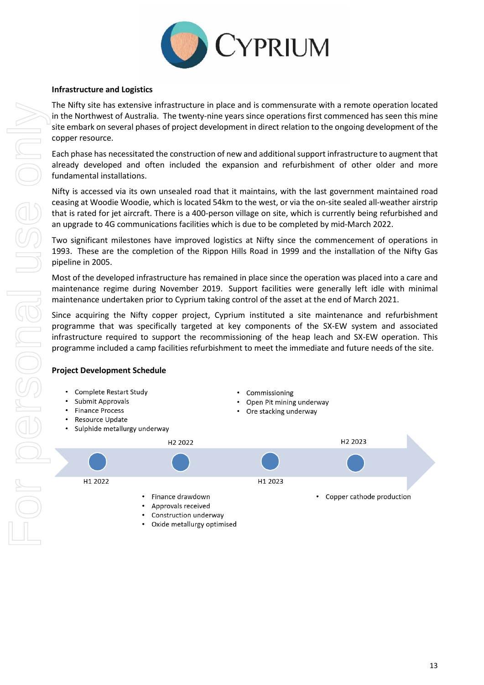

## **Infrastructure and Logistics**

The Nifty site has extensive infrastructure in place and is commensurate with a remote operation located in the Northwest of Australia. The twenty-nine years since operations first commenced has seen this mine site embark on several phases of project development in direct relation to the ongoing development of the copper resource.

Each phase has necessitated the construction of new and additional support infrastructure to augment that already developed and often included the expansion and refurbishment of other older and more fundamental installations.

Nifty is accessed via its own unsealed road that it maintains, with the last government maintained road ceasing at Woodie Woodie, which is located 54km to the west, or via the on-site sealed all-weather airstrip that is rated for jet aircraft. There is a 400-person village on site, which is currently being refurbished and an upgrade to 4G communications facilities which is due to be completed by mid-March 2022.

Two significant milestones have improved logistics at Nifty since the commencement of operations in 1993. These are the completion of the Rippon Hills Road in 1999 and the installation of the Nifty Gas pipeline in 2005.

Most of the developed infrastructure has remained in place since the operation was placed into a care and maintenance regime during November 2019. Support facilities were generally left idle with minimal maintenance undertaken prior to Cyprium taking control of the asset at the end of March 2021.

Since acquiring the Nifty copper project, Cyprium instituted a site maintenance and refurbishment programme that was specifically targeted at key components of the SX-EW system and associated infrastructure required to support the recommissioning of the heap leach and SX-EW operation. This programme included a camp facilities refurbishment to meet the immediate and future needs of the site.

## **Project Development Schedule**

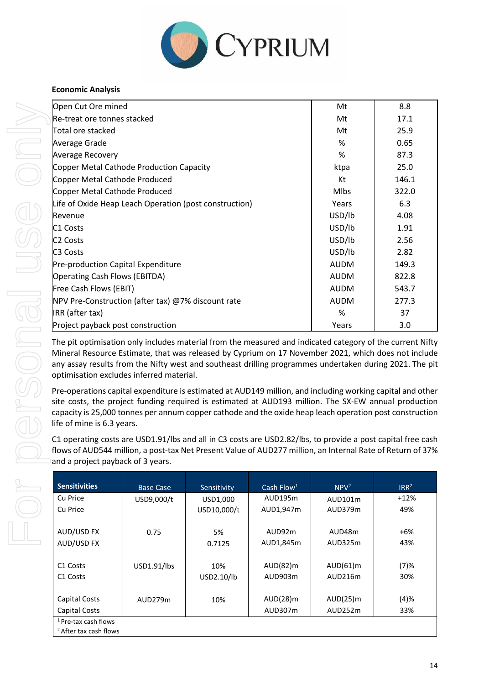

## **Economic Analysis**

| Open Cut Ore mined                                     | Mt          | 8.8   |
|--------------------------------------------------------|-------------|-------|
| lRe-treat ore tonnes stacked                           | Mt          | 17.1  |
| Total ore stacked                                      | Mt          | 25.9  |
| Average Grade                                          | %           | 0.65  |
| <b>Average Recovery</b>                                | %           | 87.3  |
| Copper Metal Cathode Production Capacity               | ktpa        | 25.0  |
| Copper Metal Cathode Produced                          | Kt          | 146.1 |
| Copper Metal Cathode Produced                          | <b>Mlbs</b> | 322.0 |
| Life of Oxide Heap Leach Operation (post construction) | Years       | 6.3   |
| Revenue                                                | USD/lb      | 4.08  |
| C <sub>1</sub> Costs                                   | USD/lb      | 1.91  |
| IC2 Costs                                              | USD/lb      | 2.56  |
| <b>C3 Costs</b>                                        | USD/lb      | 2.82  |
| Pre-production Capital Expenditure                     | <b>AUDM</b> | 149.3 |
| Operating Cash Flows (EBITDA)                          | <b>AUDM</b> | 822.8 |
| Free Cash Flows (EBIT)                                 | <b>AUDM</b> | 543.7 |
| NPV Pre-Construction (after tax) @7% discount rate     | <b>AUDM</b> | 277.3 |
| IRR (after tax)                                        | %           | 37    |
| Project payback post construction                      | Years       | 3.0   |

The pit optimisation only includes material from the measured and indicated category of the current Nifty Mineral Resource Estimate, that was released by Cyprium on 17 November 2021, which does not include any assay results from the Nifty west and southeast drilling programmes undertaken during 2021. The pit optimisation excludes inferred material.

Pre-operations capital expenditure is estimated at AUD149 million, and including working capital and other site costs, the project funding required is estimated at AUD193 million. The SX-EW annual production capacity is 25,000 tonnes per annum copper cathode and the oxide heap leach operation post construction life of mine is 6.3 years.

C1 operating costs are USD1.91/lbs and all in C3 costs are USD2.82/lbs, to provide a post capital free cash flows of AUD544 million, a post-tax Net Present Value of AUD277 million, an Internal Rate of Return of 37% and a project payback of 3 years.

| <b>Sensitivities</b>              | <b>Base Case</b> | Sensitivity | Cash Flow <sup>1</sup> | NPV <sup>2</sup> | IRR <sup>2</sup> |
|-----------------------------------|------------------|-------------|------------------------|------------------|------------------|
| Cu Price                          | USD9,000/t       | USD1,000    | AUD195m                | AUD101m          | $+12%$           |
| Cu Price                          |                  | USD10,000/t | AUD1,947m              | AUD379m          | 49%              |
|                                   |                  |             |                        |                  |                  |
| AUD/USD FX                        | 0.75             | 5%          | AUD92m                 | AUD48m           | +6%              |
| AUD/USD FX                        |                  | 0.7125      | AUD1,845m              | AUD325m          | 43%              |
|                                   |                  |             |                        |                  |                  |
| C <sub>1</sub> Costs              | USD1.91/lbs      | 10%         | AUD(82)m               | AUD(61)m         | (7)%             |
| C <sub>1</sub> Costs              |                  | USD2.10/lb  | AUD903m                | AUD216m          | 30%              |
|                                   |                  |             |                        |                  |                  |
| Capital Costs                     | AUD279m          | 10%         | AUD(28)m               | AUD(25)m         | (4)%             |
| Capital Costs                     |                  |             | AUD307m                | AUD252m          | 33%              |
| <sup>1</sup> Pre-tax cash flows   |                  |             |                        |                  |                  |
| <sup>2</sup> After tax cash flows |                  |             |                        |                  |                  |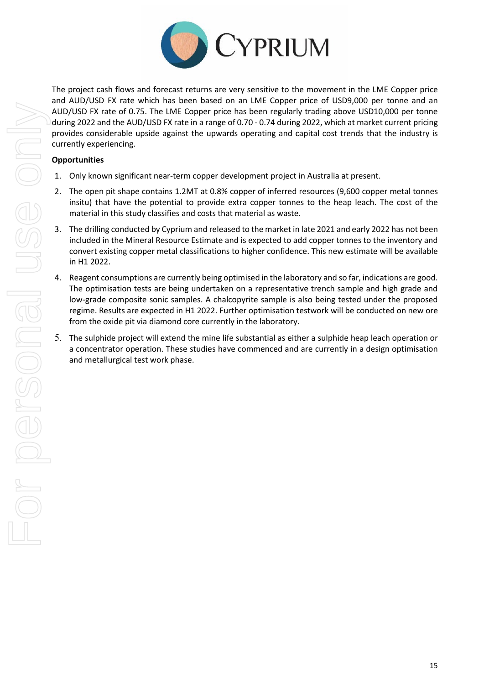

The project cash flows and forecast returns are very sensitive to the movement in the LME Copper price and AUD/USD FX rate which has been based on an LME Copper price of USD9,000 per tonne and an AUD/USD FX rate of 0.75. The LME Copper price has been regularly trading above USD10,000 per tonne during 2022 and the AUD/USD FX rate in a range of 0.70 - 0.74 during 2022, which at market current pricing provides considerable upside against the upwards operating and capital cost trends that the industry is currently experiencing.

## **Opportunities**

- 1. Only known significant near-term copper development project in Australia at present.
- 2. The open pit shape contains 1.2MT at 0.8% copper of inferred resources (9,600 copper metal tonnes insitu) that have the potential to provide extra copper tonnes to the heap leach. The cost of the material in this study classifies and costs that material as waste.
- 3. The drilling conducted by Cyprium and released to the market in late 2021 and early 2022 has not been included in the Mineral Resource Estimate and is expected to add copper tonnes to the inventory and convert existing copper metal classifications to higher confidence. This new estimate will be available in H1 2022.
- 4. Reagent consumptions are currently being optimised in the laboratory and so far, indications are good. The optimisation tests are being undertaken on a representative trench sample and high grade and low-grade composite sonic samples. A chalcopyrite sample is also being tested under the proposed regime. Results are expected in H1 2022. Further optimisation testwork will be conducted on new ore from the oxide pit via diamond core currently in the laboratory.
- 5. The sulphide project will extend the mine life substantial as either a sulphide heap leach operation or a concentrator operation. These studies have commenced and are currently in a design optimisation and metallurgical test work phase.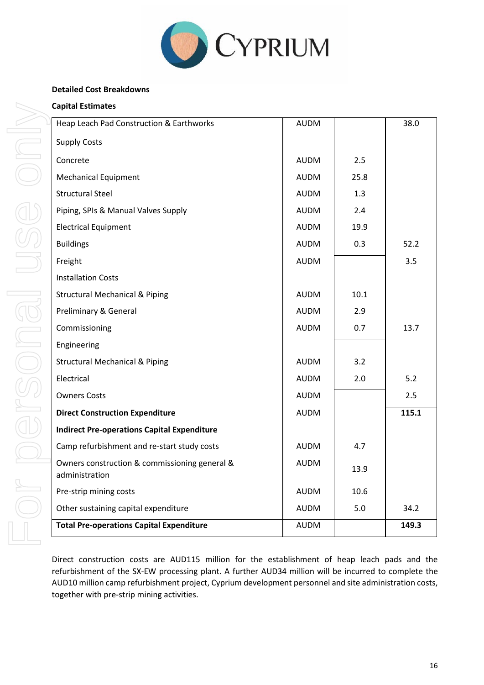

## **Detailed Cost Breakdowns**

| <b>Total Pre-operations Capital Expenditure</b>                 | <b>AUDM</b> |      | 149.3 |
|-----------------------------------------------------------------|-------------|------|-------|
| Other sustaining capital expenditure                            | <b>AUDM</b> | 5.0  | 34.2  |
| Pre-strip mining costs                                          | <b>AUDM</b> | 10.6 |       |
| Owners construction & commissioning general &<br>administration | <b>AUDM</b> | 13.9 |       |
| Camp refurbishment and re-start study costs                     | <b>AUDM</b> | 4.7  |       |
| <b>Indirect Pre-operations Capital Expenditure</b>              |             |      |       |
| <b>Direct Construction Expenditure</b>                          | <b>AUDM</b> |      | 115.1 |
| <b>Owners Costs</b>                                             | <b>AUDM</b> |      | 2.5   |
| Electrical                                                      | <b>AUDM</b> | 2.0  | 5.2   |
| <b>Structural Mechanical &amp; Piping</b>                       | <b>AUDM</b> | 3.2  |       |
| Engineering                                                     |             |      |       |
| Commissioning                                                   | <b>AUDM</b> | 0.7  | 13.7  |
| Preliminary & General                                           | <b>AUDM</b> | 2.9  |       |
| <b>Structural Mechanical &amp; Piping</b>                       | <b>AUDM</b> | 10.1 |       |
| <b>Installation Costs</b>                                       |             |      |       |
| Freight                                                         | <b>AUDM</b> |      | 3.5   |
| <b>Buildings</b>                                                | <b>AUDM</b> | 0.3  | 52.2  |
| <b>Electrical Equipment</b>                                     | <b>AUDM</b> | 19.9 |       |
| Piping, SPIs & Manual Valves Supply                             | <b>AUDM</b> | 2.4  |       |
| <b>Structural Steel</b>                                         | <b>AUDM</b> | 1.3  |       |
| <b>Mechanical Equipment</b>                                     | <b>AUDM</b> | 25.8 |       |
| Concrete                                                        | <b>AUDM</b> | 2.5  |       |
| <b>Supply Costs</b>                                             |             |      |       |
| Heap Leach Pad Construction & Earthworks                        | <b>AUDM</b> |      | 38.0  |

Direct construction costs are AUD115 million for the establishment of heap leach pads and the refurbishment of the SX-EW processing plant. A further AUD34 million will be incurred to complete the AUD10 million camp refurbishment project, Cyprium development personnel and site administration costs, together with pre-strip mining activities.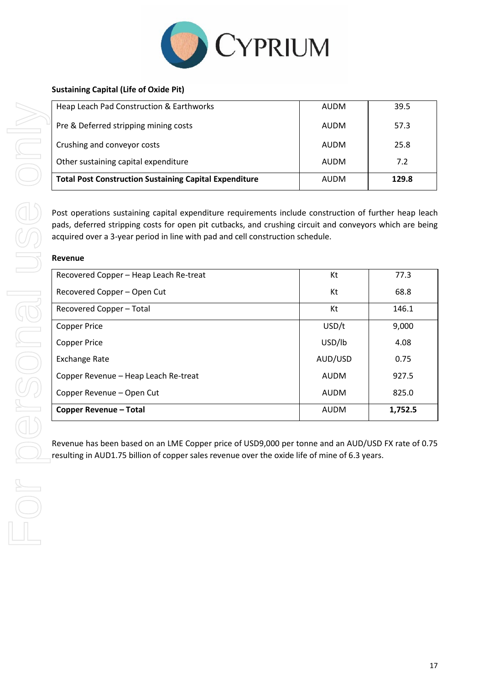

| Heap Leach Pad Construction & Earthworks                      | AUDM | 39.5  |
|---------------------------------------------------------------|------|-------|
| Pre & Deferred stripping mining costs                         | AUDM | 57.3  |
| Crushing and conveyor costs                                   | AUDM | 25.8  |
| Other sustaining capital expenditure                          | AUDM | 7.2   |
| <b>Total Post Construction Sustaining Capital Expenditure</b> | AUDM | 129.8 |

Post operations sustaining capital expenditure requirements include construction of further heap leach pads, deferred stripping costs for open pit cutbacks, and crushing circuit and conveyors which are being acquired over a 3-year period in line with pad and cell construction schedule.

#### **Revenue**

| Recovered Copper - Heap Leach Re-treat | Kt          | 77.3    |
|----------------------------------------|-------------|---------|
| Recovered Copper - Open Cut            | Kt          | 68.8    |
| Recovered Copper - Total               | Кt          | 146.1   |
| <b>Copper Price</b>                    | USD/t       | 9,000   |
| <b>Copper Price</b>                    | USD/lb      | 4.08    |
| <b>Exchange Rate</b>                   | AUD/USD     | 0.75    |
| Copper Revenue - Heap Leach Re-treat   | <b>AUDM</b> | 927.5   |
| Copper Revenue - Open Cut              | AUDM        | 825.0   |
| Copper Revenue - Total                 | <b>AUDM</b> | 1,752.5 |

Revenue has been based on an LME Copper price of USD9,000 per tonne and an AUD/USD FX rate of 0.75 resulting in AUD1.75 billion of copper sales revenue over the oxide life of mine of 6.3 years.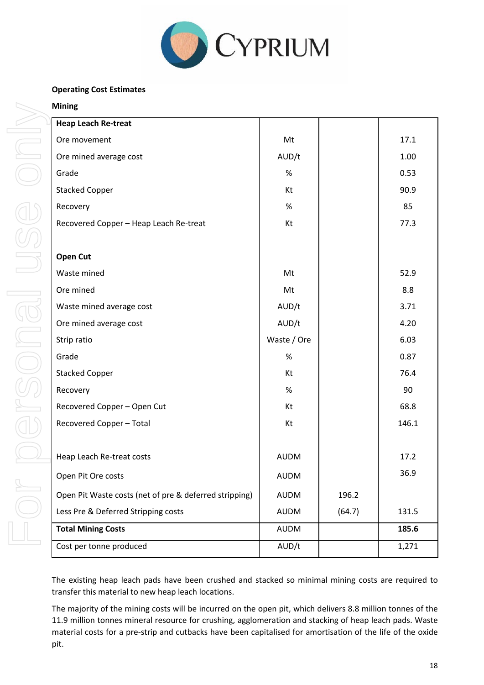

## **Operating Cost Estimates**

| <b>Heap Leach Re-treat</b>                             |             |        |       |
|--------------------------------------------------------|-------------|--------|-------|
| Ore movement                                           | Mt          |        | 17.1  |
| Ore mined average cost                                 | AUD/t       |        | 1.00  |
| Grade                                                  | %           |        | 0.53  |
| <b>Stacked Copper</b>                                  | Kt          |        | 90.9  |
| Recovery                                               | %           |        | 85    |
| Recovered Copper - Heap Leach Re-treat                 | Kt          |        | 77.3  |
|                                                        |             |        |       |
| <b>Open Cut</b>                                        |             |        |       |
| Waste mined                                            | Mt          |        | 52.9  |
| Ore mined                                              | Mt          |        | 8.8   |
| Waste mined average cost                               | AUD/t       |        | 3.71  |
| Ore mined average cost                                 | AUD/t       |        | 4.20  |
| Strip ratio                                            | Waste / Ore |        | 6.03  |
| Grade                                                  | %           |        | 0.87  |
| <b>Stacked Copper</b>                                  | Kt          |        | 76.4  |
| Recovery                                               | %           |        | 90    |
| Recovered Copper - Open Cut                            | Kt          |        | 68.8  |
| Recovered Copper - Total                               | Kt          |        | 146.1 |
|                                                        |             |        |       |
| Heap Leach Re-treat costs                              | <b>AUDM</b> |        | 17.2  |
| Open Pit Ore costs                                     | <b>AUDM</b> |        | 36.9  |
| Open Pit Waste costs (net of pre & deferred stripping) | <b>AUDM</b> | 196.2  |       |
| Less Pre & Deferred Stripping costs                    | AUDM        | (64.7) | 131.5 |
| <b>Total Mining Costs</b>                              | AUDM        |        | 185.6 |
| Cost per tonne produced                                | AUD/t       |        | 1,271 |

The existing heap leach pads have been crushed and stacked so minimal mining costs are required to transfer this material to new heap leach locations.

The majority of the mining costs will be incurred on the open pit, which delivers 8.8 million tonnes of the 11.9 million tonnes mineral resource for crushing, agglomeration and stacking of heap leach pads. Waste material costs for a pre-strip and cutbacks have been capitalised for amortisation of the life of the oxide pit.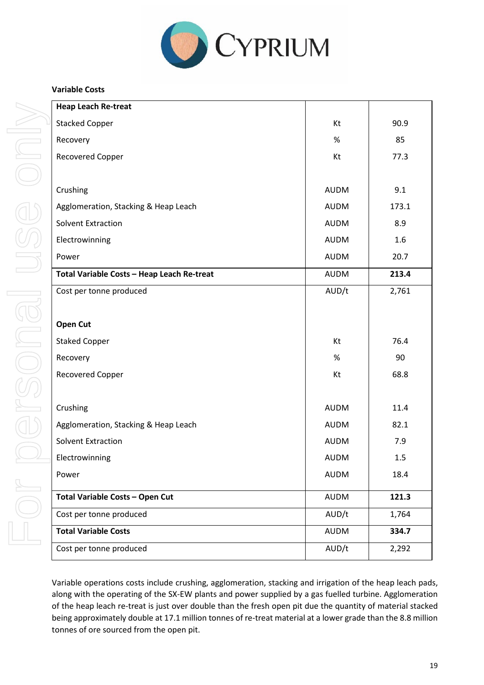

## **Variable Costs**

| <b>Heap Leach Re-treat</b>                 |             |       |
|--------------------------------------------|-------------|-------|
| <b>Stacked Copper</b>                      | Kt          | 90.9  |
| Recovery                                   | $\%$        | 85    |
| Recovered Copper                           | Kt          | 77.3  |
|                                            |             |       |
| Crushing                                   | <b>AUDM</b> | 9.1   |
| Agglomeration, Stacking & Heap Leach       | <b>AUDM</b> | 173.1 |
| <b>Solvent Extraction</b>                  | <b>AUDM</b> | 8.9   |
| Electrowinning                             | <b>AUDM</b> | 1.6   |
| Power                                      | <b>AUDM</b> | 20.7  |
| Total Variable Costs - Heap Leach Re-treat | AUDM        | 213.4 |
| Cost per tonne produced                    | AUD/t       | 2,761 |
|                                            |             |       |
| <b>Open Cut</b>                            |             |       |
| <b>Staked Copper</b>                       | Kt          | 76.4  |
| Recovery                                   | $\%$        | 90    |
| Recovered Copper                           | Kt          | 68.8  |
|                                            |             |       |
| Crushing                                   | <b>AUDM</b> | 11.4  |
| Agglomeration, Stacking & Heap Leach       | <b>AUDM</b> | 82.1  |
| <b>Solvent Extraction</b>                  | <b>AUDM</b> | 7.9   |
| Electrowinning                             | <b>AUDM</b> | 1.5   |
| Power                                      | <b>AUDM</b> | 18.4  |
| <b>Total Variable Costs - Open Cut</b>     | <b>AUDM</b> | 121.3 |
| Cost per tonne produced                    | AUD/t       | 1,764 |
| <b>Total Variable Costs</b>                | AUDM        | 334.7 |
| Cost per tonne produced                    | AUD/t       | 2,292 |

Variable operations costs include crushing, agglomeration, stacking and irrigation of the heap leach pads, along with the operating of the SX-EW plants and power supplied by a gas fuelled turbine. Agglomeration of the heap leach re-treat is just over double than the fresh open pit due the quantity of material stacked being approximately double at 17.1 million tonnes of re-treat material at a lower grade than the 8.8 million tonnes of ore sourced from the open pit.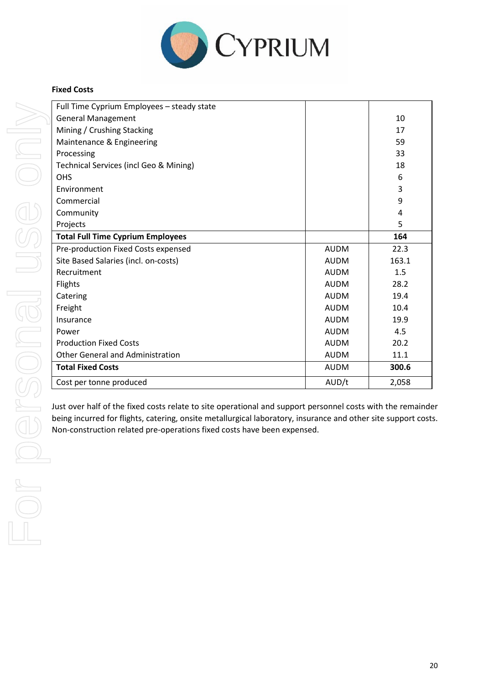

## **Fixed Costs**

| Full Time Cyprium Employees - steady state |             |       |
|--------------------------------------------|-------------|-------|
| <b>General Management</b>                  |             | 10    |
| Mining / Crushing Stacking                 |             | 17    |
| Maintenance & Engineering                  |             | 59    |
| Processing                                 |             | 33    |
| Technical Services (incl Geo & Mining)     |             | 18    |
| <b>OHS</b>                                 |             | 6     |
| Environment                                |             | 3     |
| Commercial                                 |             | 9     |
| Community                                  |             | 4     |
| Projects                                   |             | 5     |
| <b>Total Full Time Cyprium Employees</b>   |             | 164   |
| Pre-production Fixed Costs expensed        | <b>AUDM</b> | 22.3  |
| Site Based Salaries (incl. on-costs)       | <b>AUDM</b> | 163.1 |
| Recruitment                                | <b>AUDM</b> | 1.5   |
| <b>Flights</b>                             | <b>AUDM</b> | 28.2  |
| Catering                                   | <b>AUDM</b> | 19.4  |
| Freight                                    | <b>AUDM</b> | 10.4  |
| Insurance                                  | <b>AUDM</b> | 19.9  |
| Power                                      | <b>AUDM</b> | 4.5   |
| <b>Production Fixed Costs</b>              | <b>AUDM</b> | 20.2  |
| <b>Other General and Administration</b>    | <b>AUDM</b> | 11.1  |
| <b>Total Fixed Costs</b>                   | <b>AUDM</b> | 300.6 |
| Cost per tonne produced                    | AUD/t       | 2,058 |
|                                            |             |       |

Just over half of the fixed costs relate to site operational and support personnel costs with the remainder being incurred for flights, catering, onsite metallurgical laboratory, insurance and other site support costs.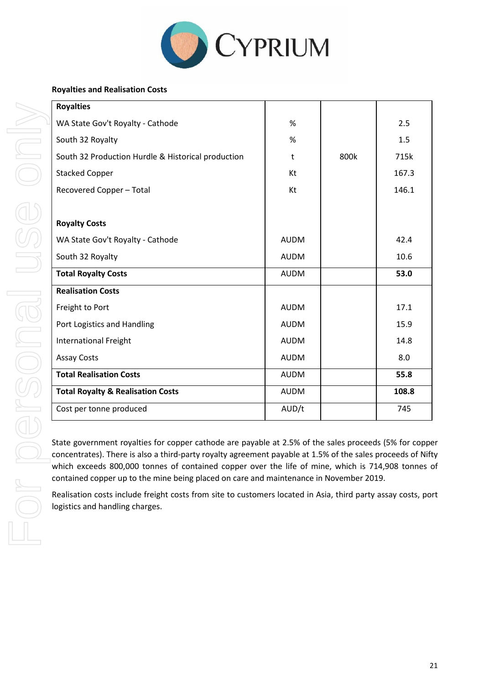

## **Royalties and Realisation Costs**

| <b>Royalties</b>                                   |             |      |       |
|----------------------------------------------------|-------------|------|-------|
| WA State Gov't Royalty - Cathode                   | %           |      | 2.5   |
| South 32 Royalty                                   | %           |      | 1.5   |
| South 32 Production Hurdle & Historical production | t           | 800k | 715k  |
| <b>Stacked Copper</b>                              | Kt          |      | 167.3 |
| Recovered Copper - Total                           | Kt          |      | 146.1 |
|                                                    |             |      |       |
| <b>Royalty Costs</b>                               |             |      |       |
| WA State Gov't Royalty - Cathode                   | <b>AUDM</b> |      | 42.4  |
| South 32 Royalty                                   | <b>AUDM</b> |      | 10.6  |
| <b>Total Royalty Costs</b>                         | <b>AUDM</b> |      | 53.0  |
| <b>Realisation Costs</b>                           |             |      |       |
| Freight to Port                                    | <b>AUDM</b> |      | 17.1  |
| Port Logistics and Handling                        | <b>AUDM</b> |      | 15.9  |
| <b>International Freight</b>                       | <b>AUDM</b> |      | 14.8  |
| <b>Assay Costs</b>                                 | <b>AUDM</b> |      | 8.0   |
| <b>Total Realisation Costs</b>                     | <b>AUDM</b> |      | 55.8  |
| <b>Total Royalty &amp; Realisation Costs</b>       | <b>AUDM</b> |      | 108.8 |
| Cost per tonne produced                            | AUD/t       |      | 745   |

State government royalties for copper cathode are payable at 2.5% of the sales proceeds (5% for copper concentrates). There is also a third-party royalty agreement payable at 1.5% of the sales proceeds of Nifty which exceeds 800,000 tonnes of contained copper over the life of mine, which is 714,908 tonnes of contained copper up to the mine being placed on care and maintenance in November 2019.

Realisation costs include freight costs from site to customers located in Asia, third party assay costs, port logistics and handling charges.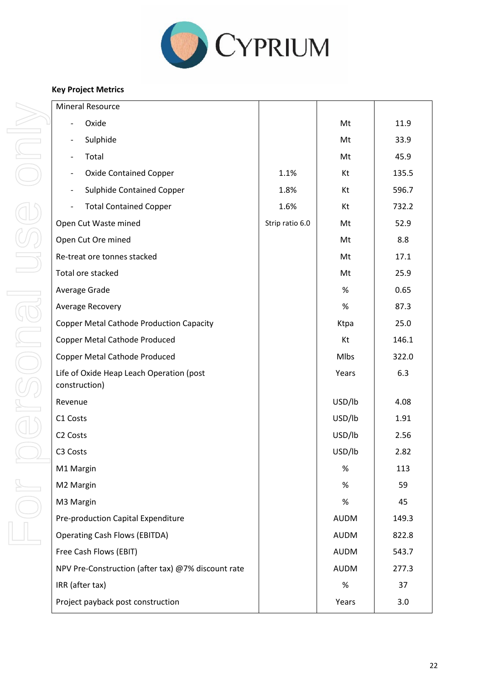

## **Key Project Metrics**

| <b>Mineral Resource</b>                                      |                 |             |       |
|--------------------------------------------------------------|-----------------|-------------|-------|
| Oxide                                                        |                 | Mt          | 11.9  |
| Sulphide<br>$\overline{\phantom{a}}$                         |                 | Mt          | 33.9  |
| Total<br>$\overline{\phantom{a}}$                            |                 | Mt          | 45.9  |
| <b>Oxide Contained Copper</b><br>$\overline{\phantom{a}}$    | 1.1%            | Kt          | 135.5 |
| <b>Sulphide Contained Copper</b><br>$\overline{\phantom{a}}$ | 1.8%            | Kt          | 596.7 |
| <b>Total Contained Copper</b>                                | 1.6%            | Kt          | 732.2 |
| Open Cut Waste mined                                         | Strip ratio 6.0 | Mt          | 52.9  |
| Open Cut Ore mined                                           |                 | Mt          | 8.8   |
| Re-treat ore tonnes stacked                                  |                 | Mt          | 17.1  |
| Total ore stacked                                            |                 | Mt          | 25.9  |
| Average Grade                                                |                 | $\%$        | 0.65  |
| Average Recovery                                             |                 | $\%$        | 87.3  |
| <b>Copper Metal Cathode Production Capacity</b>              |                 | Ktpa        | 25.0  |
| <b>Copper Metal Cathode Produced</b>                         |                 | Kt          | 146.1 |
| <b>Copper Metal Cathode Produced</b>                         |                 | Mlbs        | 322.0 |
| Life of Oxide Heap Leach Operation (post<br>construction)    |                 | Years       | 6.3   |
| Revenue                                                      |                 | USD/lb      | 4.08  |
| C1 Costs                                                     |                 | USD/lb      | 1.91  |
| C <sub>2</sub> Costs                                         |                 | USD/lb      | 2.56  |
| C3 Costs                                                     |                 | USD/lb      | 2.82  |
| M1 Margin                                                    |                 | $\%$        | 113   |
| M2 Margin                                                    |                 | %           | 59    |
| M3 Margin                                                    |                 | $\%$        | 45    |
| Pre-production Capital Expenditure                           |                 | <b>AUDM</b> | 149.3 |
| <b>Operating Cash Flows (EBITDA)</b>                         |                 | <b>AUDM</b> | 822.8 |
| Free Cash Flows (EBIT)                                       |                 | <b>AUDM</b> | 543.7 |
| NPV Pre-Construction (after tax) @7% discount rate           |                 | <b>AUDM</b> | 277.3 |
| IRR (after tax)                                              |                 | %           | 37    |
| Project payback post construction                            |                 | Years       | 3.0   |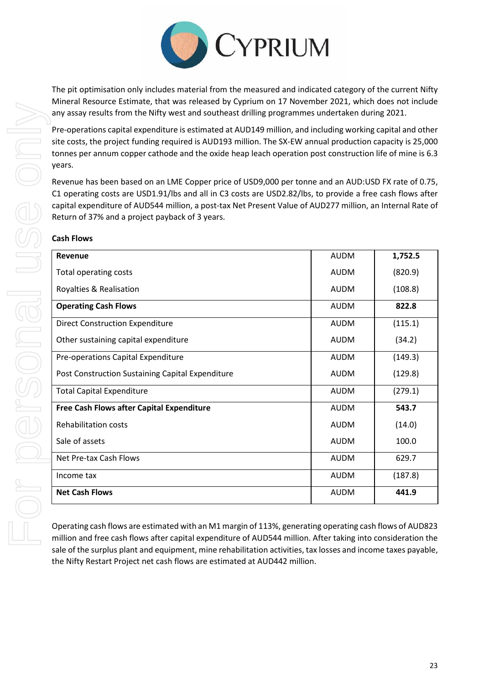

The pit optimisation only includes material from the measured and indicated category of the current Nifty Mineral Resource Estimate, that was released by Cyprium on 17 November 2021, which does not include any assay results from the Nifty west and southeast drilling programmes undertaken during 2021.

Pre-operations capital expenditure is estimated at AUD149 million, and including working capital and other site costs, the project funding required is AUD193 million. The SX-EW annual production capacity is 25,000 tonnes per annum copper cathode and the oxide heap leach operation post construction life of mine is 6.3 years.

Revenue has been based on an LME Copper price of USD9,000 per tonne and an AUD:USD FX rate of 0.75, C1 operating costs are USD1.91/lbs and all in C3 costs are USD2.82/lbs, to provide a free cash flows after capital expenditure of AUD544 million, a post-tax Net Present Value of AUD277 million, an Internal Rate of Return of 37% and a project payback of 3 years.

## **Cash Flows**

| Revenue                                          | <b>AUDM</b> | 1,752.5 |
|--------------------------------------------------|-------------|---------|
| Total operating costs                            | <b>AUDM</b> | (820.9) |
| Royalties & Realisation                          | <b>AUDM</b> | (108.8) |
| <b>Operating Cash Flows</b>                      | <b>AUDM</b> | 822.8   |
| <b>Direct Construction Expenditure</b>           | <b>AUDM</b> | (115.1) |
| Other sustaining capital expenditure             | AUDM        | (34.2)  |
| Pre-operations Capital Expenditure               | <b>AUDM</b> | (149.3) |
| Post Construction Sustaining Capital Expenditure | <b>AUDM</b> | (129.8) |
| <b>Total Capital Expenditure</b>                 | <b>AUDM</b> | (279.1) |
| <b>Free Cash Flows after Capital Expenditure</b> | <b>AUDM</b> | 543.7   |
| <b>Rehabilitation costs</b>                      | <b>AUDM</b> | (14.0)  |
| Sale of assets                                   | <b>AUDM</b> | 100.0   |
| Net Pre-tax Cash Flows                           | <b>AUDM</b> | 629.7   |
| Income tax                                       | <b>AUDM</b> | (187.8) |
| <b>Net Cash Flows</b>                            | <b>AUDM</b> | 441.9   |

Operating cash flows are estimated with an M1 margin of 113%, generating operating cash flows of AUD823 million and free cash flows after capital expenditure of AUD544 million. After taking into consideration the sale of the surplus plant and equipment, mine rehabilitation activities, tax losses and income taxes payable, the Nifty Restart Project net cash flows are estimated at AUD442 million.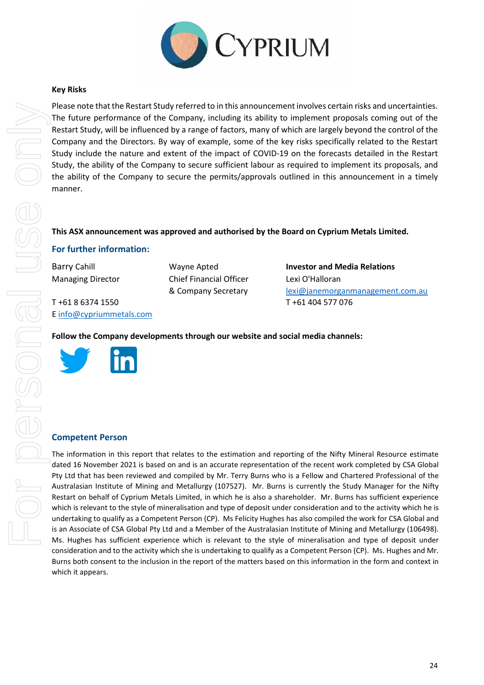

## **Key Risks**

Please note that the Restart Study referred to in this announcement involves certain risks and uncertainties. The future performance of the Company, including its ability to implement proposals coming out of the Restart Study, will be influenced by a range of factors, many of which are largely beyond the control of the Company and the Directors. By way of example, some of the key risks specifically related to the Restart Study include the nature and extent of the impact of COVID-19 on the forecasts detailed in the Restart Study, the ability of the Company to secure sufficient labour as required to implement its proposals, and the ability of the Company to secure the permits/approvals outlined in this announcement in a timely manner.

## **This ASX announcement was approved and authorised by the Board on Cyprium Metals Limited.**

## **For further information:**

T +61 8 6374 1550 T +61 404 577 076 [E info@cypriummetals.com](mailto:info@cypriummetals.com)

Managing Director Chief Financial Officer Lexi O'Halloran

Barry Cahill Wayne Apted **Investor and Media Relations** & Company Secretary lexi@janemorganmanagement.com.au

**Follow the Company developments through our website and social media channels:**



#### **Competent Person**

The information in this report that relates to the estimation and reporting of the Nifty Mineral Resource estimate dated 16 November 2021 is based on and is an accurate representation of the recent work completed by CSA Global Pty Ltd that has been reviewed and compiled by Mr. Terry Burns who is a Fellow and Chartered Professional of the Australasian Institute of Mining and Metallurgy (107527). Mr. Burns is currently the Study Manager for the Nifty Restart on behalf of Cyprium Metals Limited, in which he is also a shareholder. Mr. Burns has sufficient experience which is relevant to the style of mineralisation and type of deposit under consideration and to the activity which he is undertaking to qualify as a Competent Person (CP). Ms Felicity Hughes has also compiled the work for CSA Global and is an Associate of CSA Global Pty Ltd and a Member of the Australasian Institute of Mining and Metallurgy (106498). Ms. Hughes has sufficient experience which is relevant to the style of mineralisation and type of deposit under consideration and to the activity which she is undertaking to qualify as a Competent Person (CP). Ms. Hughes and Mr. Burns both consent to the inclusion in the report of the matters based on this information in the form and context in which it appears.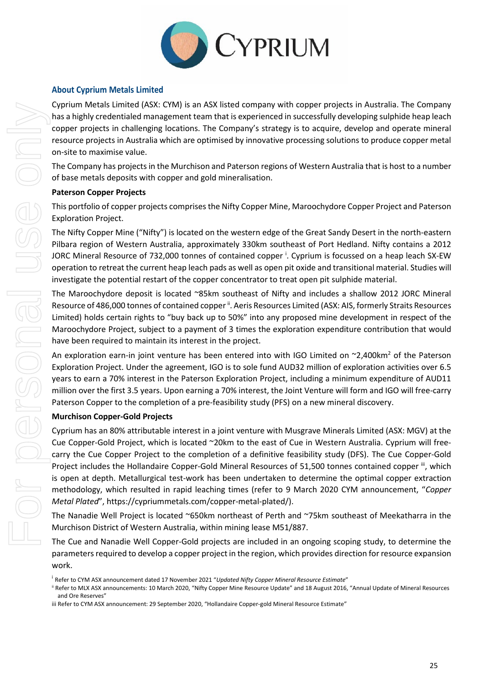

## **About Cyprium Metals Limited**

Cyprium Metals Limited (ASX: CYM) is an ASX listed company with copper projects in Australia. The Company has a highly credentialed management team that is experienced in successfully developing sulphide heap leach copper projects in challenging locations. The Company's strategy is to acquire, develop and operate mineral resource projects in Australia which are optimised by innovative processing solutions to produce copper metal on-site to maximise value.

The Company has projects in the Murchison and Paterson regions of Western Australia that is host to a number of base metals deposits with copper and gold mineralisation.

#### **Paterson Copper Projects**

This portfolio of copper projects comprises the Nifty Copper Mine, Maroochydore Copper Project and Paterson Exploration Project.

The Nifty Copper Mine ("Nifty") is located on the western edge of the Great Sandy Desert in the north-eastern Pilbara region of Western Australia, approximately 330km southeast of Port Hedland. Nifty contains a 2012 JORC Mineral Resource of 732,000 tonnes of contained copper <sup>i</sup>. Cyprium is focussed on a heap leach SX-EW operation to retreat the current heap leach pads as well as open pit oxide and transitional material. Studies will investigate the potential restart of the copper concentrator to treat open pit sulphide material.

The Maroochydore deposit is located ~85km southeast of Nifty and includes a shallow 2012 JORC Mineral Resource of 486,000 tonnes of contained copper <sup>ii</sup>. Aeris Resources Limited (ASX: AIS, formerly Straits Resources Limited) holds certain rights to "buy back up to 50%" into any proposed mine development in respect of the Maroochydore Project, subject to a payment of 3 times the exploration expenditure contribution that would have been required to maintain its interest in the project.

An exploration earn-in joint venture has been entered into with IGO Limited on  $\sim$ 2,400km<sup>2</sup> of the Paterson Exploration Project. Under the agreement, IGO is to sole fund AUD32 million of exploration activities over 6.5 years to earn a 70% interest in the Paterson Exploration Project, including a minimum expenditure of AUD11 million over the first 3.5 years. Upon earning a 70% interest, the Joint Venture will form and IGO will free-carry Paterson Copper to the completion of a pre-feasibility study (PFS) on a new mineral discovery.

## **Murchison Copper-Gold Projects**

Cyprium has an 80% attributable interest in a joint venture with Musgrave Minerals Limited (ASX: MGV) at the Cue Copper-Gold Project, which is located ~20km to the east of Cue in Western Australia. Cyprium will freecarry the Cue Copper Project to the completion of a definitive feasibility study (DFS). The Cue Copper-Gold Project includes the Hollandaire Copper-Gold Mineral Resources of 51,500 tonnes contained copper iii, which is open at depth. Metallurgical test-work has been undertaken to determine the optimal copper extraction methodology, which resulted in rapid leaching times (refer to 9 March 2020 CYM announcement, "*Copper Metal Plated*", [https://cypriummetals.com/copper-metal-plated/\)](https://cypriummetals.com/copper-metal-plated/).

The Nanadie Well Project is located ~650km northeast of Perth and ~75km southeast of Meekatharra in the Murchison District of Western Australia, within mining lease M51/887.

The Cue and Nanadie Well Copper-Gold projects are included in an ongoing scoping study, to determine the parameters required to develop a copper project in the region, which provides direction for resource expansion work.

<sup>i</sup> Refer to CYM ASX announcement dated 17 November 2021 "*Updated Nifty Copper Mineral Resource Estimate*"

ii Refer to MLX ASX announcements: 10 March 2020, "Nifty Copper Mine Resource Update" and 18 August 2016, "Annual Update of Mineral Resources and Ore Reserves"

iii Refer to CYM ASX announcement: 29 September 2020, "Hollandaire Copper-gold Mineral Resource Estimate"